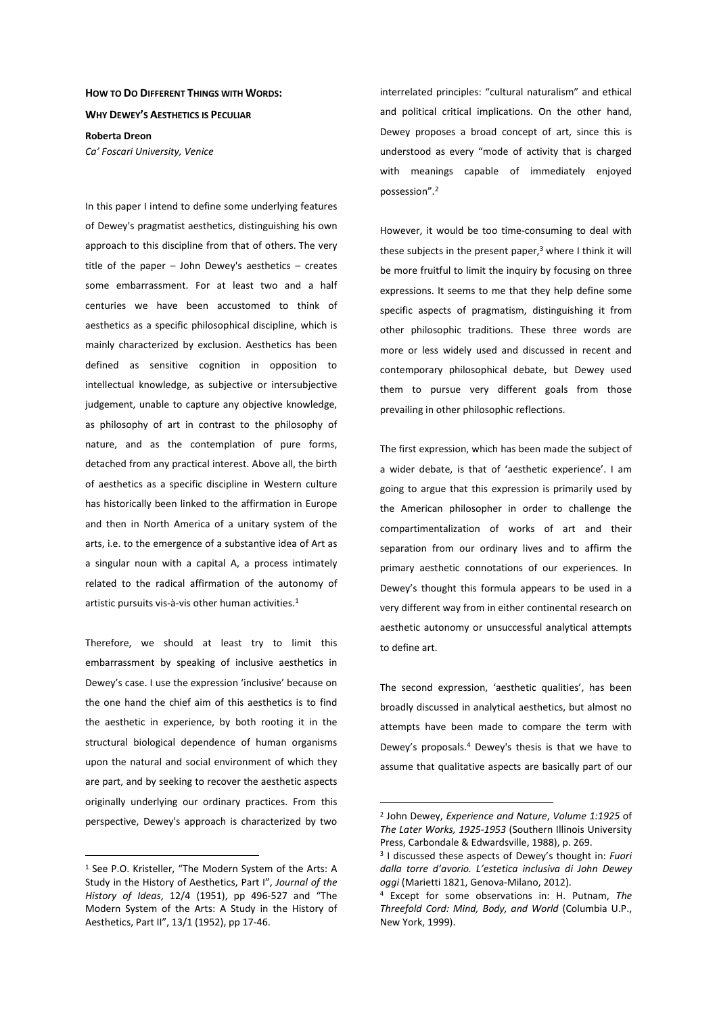## **HOW TO DO DIFFERENT THINGS WITH WORDS:**

**WHY DEWEY'S AESTHETICS IS PECULIAR**

**Roberta Dreon**  *Ca' Foscari University, Venice* 

In this paper I intend to define some underlying features of Dewey's pragmatist aesthetics, distinguishing his own approach to this discipline from that of others. The very title of the paper – John Dewey's aesthetics – creates some embarrassment. For at least two and a half centuries we have been accustomed to think of aesthetics as a specific philosophical discipline, which is mainly characterized by exclusion. Aesthetics has been defined as sensitive cognition in opposition to intellectual knowledge, as subjective or intersubjective judgement, unable to capture any objective knowledge, as philosophy of art in contrast to the philosophy of nature, and as the contemplation of pure forms, detached from any practical interest. Above all, the birth of aesthetics as a specific discipline in Western culture has historically been linked to the affirmation in Europe and then in North America of a unitary system of the arts, i.e. to the emergence of a substantive idea of Art as a singular noun with a capital A, a process intimately related to the radical affirmation of the autonomy of artistic pursuits vis-à-vis other human activities.<sup>1</sup>

Therefore, we should at least try to limit this embarrassment by speaking of inclusive aesthetics in Dewey's case. I use the expression 'inclusive' because on the one hand the chief aim of this aesthetics is to find the aesthetic in experience, by both rooting it in the structural biological dependence of human organisms upon the natural and social environment of which they are part, and by seeking to recover the aesthetic aspects originally underlying our ordinary practices. From this perspective, Dewey's approach is characterized by two

 $\overline{a}$ 

interrelated principles: "cultural naturalism" and ethical and political critical implications. On the other hand, Dewey proposes a broad concept of art, since this is understood as every "mode of activity that is charged with meanings capable of immediately enjoyed possession".<sup>2</sup>

However, it would be too time-consuming to deal with these subjects in the present paper,<sup>3</sup> where I think it will be more fruitful to limit the inquiry by focusing on three expressions. It seems to me that they help define some specific aspects of pragmatism, distinguishing it from other philosophic traditions. These three words are more or less widely used and discussed in recent and contemporary philosophical debate, but Dewey used them to pursue very different goals from those prevailing in other philosophic reflections.

The first expression, which has been made the subject of a wider debate, is that of 'aesthetic experience'. I am going to argue that this expression is primarily used by the American philosopher in order to challenge the compartimentalization of works of art and their separation from our ordinary lives and to affirm the primary aesthetic connotations of our experiences. In Dewey's thought this formula appears to be used in a very different way from in either continental research on aesthetic autonomy or unsuccessful analytical attempts to define art.

The second expression, 'aesthetic qualities', has been broadly discussed in analytical aesthetics, but almost no attempts have been made to compare the term with Dewey's proposals.<sup>4</sup> Dewey's thesis is that we have to assume that qualitative aspects are basically part of our

<sup>1</sup> See P.O. Kristeller, "The Modern System of the Arts: A Study in the History of Aesthetics, Part I", *Journal of the History of Ideas*, 12/4 (1951), pp 496-527 and "The Modern System of the Arts: A Study in the History of Aesthetics, Part II", 13/1 (1952), pp 17-46.

<sup>2</sup> John Dewey, *Experience and Nature*, *Volume 1:1925* of *The Later Works, 1925-1953* (Southern Illinois University Press, Carbondale & Edwardsville, 1988), p. 269.

<sup>3</sup> I discussed these aspects of Dewey's thought in: *Fuori dalla torre d'avorio. L'estetica inclusiva di John Dewey oggi* (Marietti 1821, Genova-Milano, 2012).

<sup>4</sup> Except for some observations in: H. Putnam, *The Threefold Cord: Mind, Body, and World* (Columbia U.P., New York, 1999).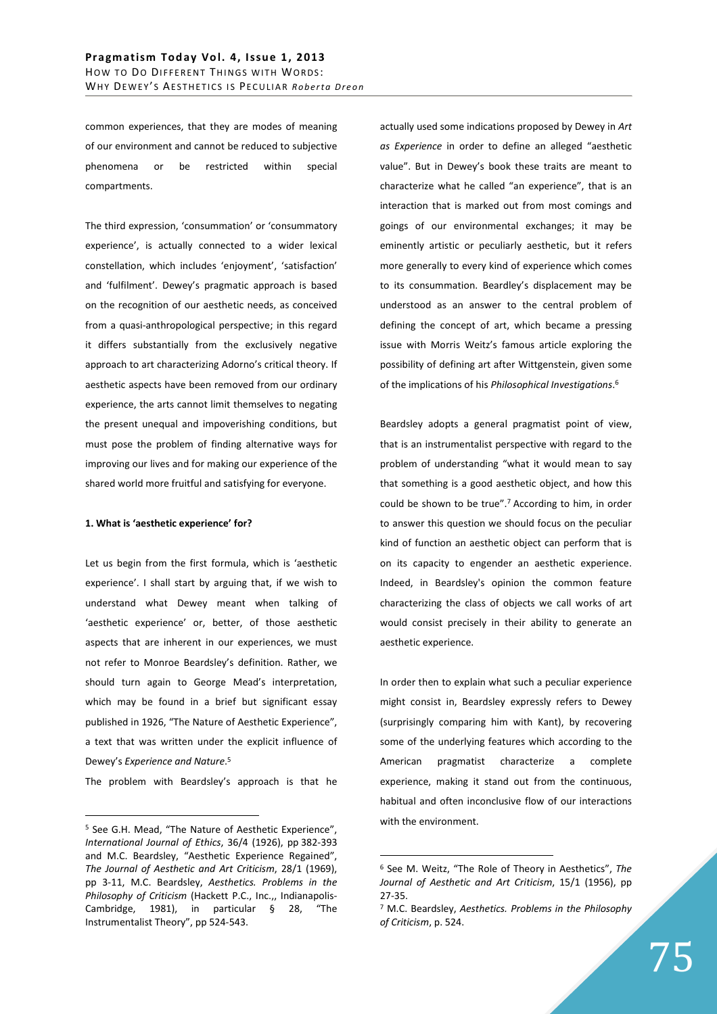common experiences, that they are modes of meaning of our environment and cannot be reduced to subjective phenomena or be restricted within special compartments.

The third expression, 'consummation' or 'consummatory experience', is actually connected to a wider lexical constellation, which includes 'enjoyment', 'satisfaction' and 'fulfilment'. Dewey's pragmatic approach is based on the recognition of our aesthetic needs, as conceived from a quasi-anthropological perspective; in this regard it differs substantially from the exclusively negative approach to art characterizing Adorno's critical theory. If aesthetic aspects have been removed from our ordinary experience, the arts cannot limit themselves to negating the present unequal and impoverishing conditions, but must pose the problem of finding alternative ways for improving our lives and for making our experience of the shared world more fruitful and satisfying for everyone.

## **1. What is 'aesthetic experience' for?**

Let us begin from the first formula, which is 'aesthetic experience'. I shall start by arguing that, if we wish to understand what Dewey meant when talking of 'aesthetic experience' or, better, of those aesthetic aspects that are inherent in our experiences, we must not refer to Monroe Beardsley's definition. Rather, we should turn again to George Mead's interpretation, which may be found in a brief but significant essay published in 1926, "The Nature of Aesthetic Experience", a text that was written under the explicit influence of Dewey's *Experience and Nature*. 5

The problem with Beardsley's approach is that he

 $\overline{a}$ 

actually used some indications proposed by Dewey in *Art as Experience* in order to define an alleged "aesthetic value". But in Dewey's book these traits are meant to characterize what he called "an experience", that is an interaction that is marked out from most comings and goings of our environmental exchanges; it may be eminently artistic or peculiarly aesthetic, but it refers more generally to every kind of experience which comes to its consummation. Beardley's displacement may be understood as an answer to the central problem of defining the concept of art, which became a pressing issue with Morris Weitz's famous article exploring the possibility of defining art after Wittgenstein, given some of the implications of his *Philosophical Investigations*. 6

Beardsley adopts a general pragmatist point of view, that is an instrumentalist perspective with regard to the problem of understanding "what it would mean to say that something is a good aesthetic object, and how this could be shown to be true".<sup>7</sup> According to him, in order to answer this question we should focus on the peculiar kind of function an aesthetic object can perform that is on its capacity to engender an aesthetic experience. Indeed, in Beardsley's opinion the common feature characterizing the class of objects we call works of art would consist precisely in their ability to generate an aesthetic experience.

In order then to explain what such a peculiar experience might consist in, Beardsley expressly refers to Dewey (surprisingly comparing him with Kant), by recovering some of the underlying features which according to the American pragmatist characterize a complete experience, making it stand out from the continuous, habitual and often inconclusive flow of our interactions with the environment.

<sup>&</sup>lt;sup>5</sup> See G.H. Mead, "The Nature of Aesthetic Experience", *International Journal of Ethics*, 36/4 (1926), pp 382-393 and M.C. Beardsley, "Aesthetic Experience Regained", *The Journal of Aesthetic and Art Criticism*, 28/1 (1969), pp 3-11, M.C. Beardsley, *Aesthetics. Problems in the Philosophy of Criticism* (Hackett P.C., Inc.,, Indianapolis-Cambridge, 1981), in particular § 28, "The Instrumentalist Theory", pp 524-543.

<sup>6</sup> See M. Weitz, "The Role of Theory in Aesthetics", *The Journal of Aesthetic and Art Criticism*, 15/1 (1956), pp 27-35.

<sup>7</sup> M.C. Beardsley, *Aesthetics. Problems in the Philosophy of Criticism*, p. 524.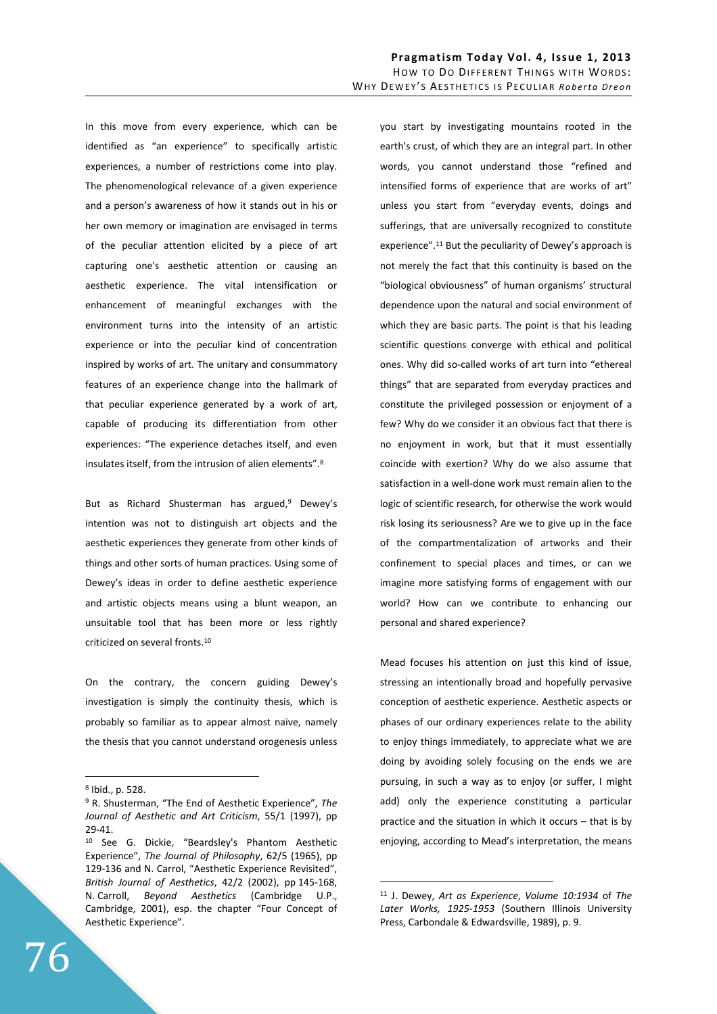In this move from every experience, which can be identified as "an experience" to specifically artistic experiences, a number of restrictions come into play. The phenomenological relevance of a given experience and a person's awareness of how it stands out in his or her own memory or imagination are envisaged in terms of the peculiar attention elicited by a piece of art capturing one's aesthetic attention or causing an aesthetic experience. The vital intensification or enhancement of meaningful exchanges with the environment turns into the intensity of an artistic experience or into the peculiar kind of concentration inspired by works of art. The unitary and consummatory features of an experience change into the hallmark of that peculiar experience generated by a work of art, capable of producing its differentiation from other experiences: "The experience detaches itself, and even insulates itself, from the intrusion of alien elements".<sup>8</sup>

But as Richard Shusterman has argued,<sup>9</sup> Dewey's intention was not to distinguish art objects and the aesthetic experiences they generate from other kinds of things and other sorts of human practices. Using some of Dewey's ideas in order to define aesthetic experience and artistic objects means using a blunt weapon, an unsuitable tool that has been more or less rightly criticized on several fronts.<sup>10</sup>

On the contrary, the concern guiding Dewey's investigation is simply the continuity thesis, which is probably so familiar as to appear almost naïve, namely the thesis that you cannot understand orogenesis unless

 $\overline{a}$ 

you start by investigating mountains rooted in the earth's crust, of which they are an integral part. In other words, you cannot understand those "refined and intensified forms of experience that are works of art" unless you start from "everyday events, doings and sufferings, that are universally recognized to constitute experience".<sup>11</sup> But the peculiarity of Dewey's approach is not merely the fact that this continuity is based on the "biological obviousness" of human organisms' structural dependence upon the natural and social environment of which they are basic parts. The point is that his leading scientific questions converge with ethical and political ones. Why did so-called works of art turn into "ethereal things" that are separated from everyday practices and constitute the privileged possession or enjoyment of a few? Why do we consider it an obvious fact that there is no enjoyment in work, but that it must essentially coincide with exertion? Why do we also assume that satisfaction in a well-done work must remain alien to the logic of scientific research, for otherwise the work would risk losing its seriousness? Are we to give up in the face of the compartmentalization of artworks and their confinement to special places and times, or can we imagine more satisfying forms of engagement with our world? How can we contribute to enhancing our personal and shared experience?

Mead focuses his attention on just this kind of issue, stressing an intentionally broad and hopefully pervasive conception of aesthetic experience. Aesthetic aspects or phases of our ordinary experiences relate to the ability to enjoy things immediately, to appreciate what we are doing by avoiding solely focusing on the ends we are pursuing, in such a way as to enjoy (or suffer, I might add) only the experience constituting a particular practice and the situation in which it occurs – that is by enjoying, according to Mead's interpretation, the means

<sup>8</sup> Ibid., p. 528.

<sup>9</sup> R. Shusterman, "The End of Aesthetic Experience", *The Journal of Aesthetic and Art Criticism*, 55/1 (1997), pp 29-41.

<sup>10</sup> See G. Dickie, "Beardsley's Phantom Aesthetic Experience", *The Journal of Philosophy*, 62/5 (1965), pp 129-136 and N. Carrol, "Aesthetic Experience Revisited", *British Journal of Aesthetics*, 42/2 (2002), pp 145-168, N. Carroll, *Beyond Aesthetics* (Cambridge U.P., Cambridge, 2001), esp. the chapter "Four Concept of Aesthetic Experience".

<sup>11</sup> J. Dewey, *Art as Experience*, *Volume 10:1934* of *The Later Works, 1925-1953* (Southern Illinois University Press, Carbondale & Edwardsville, 1989), p. 9.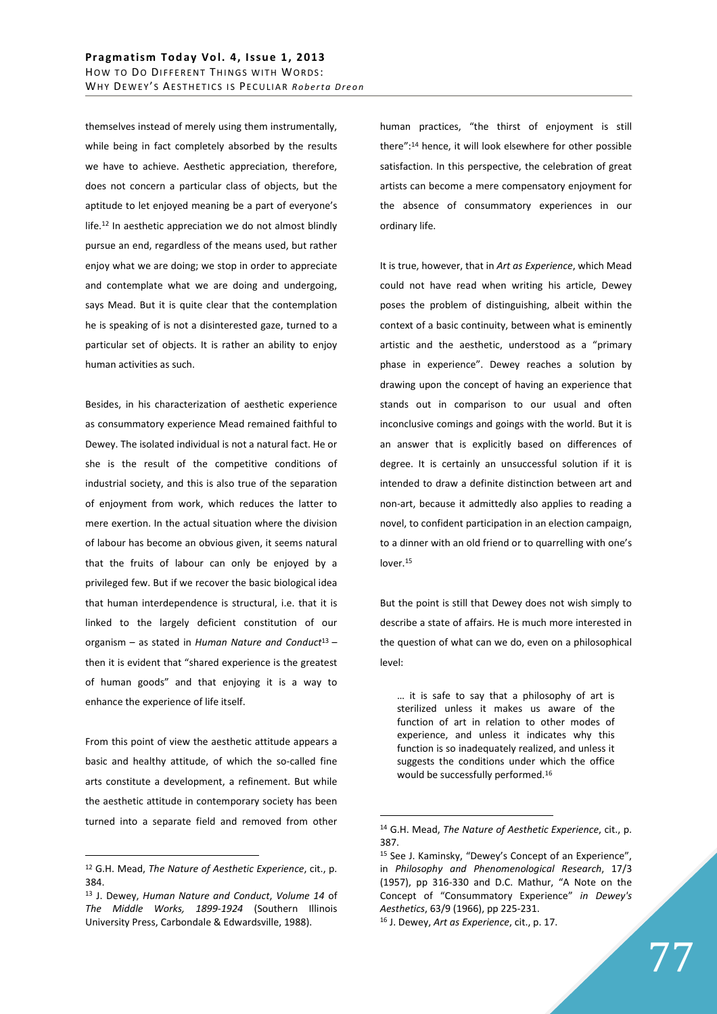themselves instead of merely using them instrumentally, while being in fact completely absorbed by the results we have to achieve. Aesthetic appreciation, therefore, does not concern a particular class of objects, but the aptitude to let enjoyed meaning be a part of everyone's life.<sup>12</sup> In aesthetic appreciation we do not almost blindly pursue an end, regardless of the means used, but rather enjoy what we are doing; we stop in order to appreciate and contemplate what we are doing and undergoing, says Mead. But it is quite clear that the contemplation he is speaking of is not a disinterested gaze, turned to a particular set of objects. It is rather an ability to enjoy human activities as such.

Besides, in his characterization of aesthetic experience as consummatory experience Mead remained faithful to Dewey. The isolated individual is not a natural fact. He or she is the result of the competitive conditions of industrial society, and this is also true of the separation of enjoyment from work, which reduces the latter to mere exertion. In the actual situation where the division of labour has become an obvious given, it seems natural that the fruits of labour can only be enjoyed by a privileged few. But if we recover the basic biological idea that human interdependence is structural, i.e. that it is linked to the largely deficient constitution of our organism – as stated in *Human Nature and Conduct*<sup>13</sup>– then it is evident that "shared experience is the greatest of human goods" and that enjoying it is a way to enhance the experience of life itself.

From this point of view the aesthetic attitude appears a basic and healthy attitude, of which the so-called fine arts constitute a development, a refinement. But while the aesthetic attitude in contemporary society has been turned into a separate field and removed from other

 $\overline{a}$ 

human practices, "the thirst of enjoyment is still there":<sup>14</sup> hence, it will look elsewhere for other possible satisfaction. In this perspective, the celebration of great artists can become a mere compensatory enjoyment for the absence of consummatory experiences in our ordinary life.

It is true, however, that in *Art as Experience*, which Mead could not have read when writing his article, Dewey poses the problem of distinguishing, albeit within the context of a basic continuity, between what is eminently artistic and the aesthetic, understood as a "primary phase in experience". Dewey reaches a solution by drawing upon the concept of having an experience that stands out in comparison to our usual and often inconclusive comings and goings with the world. But it is an answer that is explicitly based on differences of degree. It is certainly an unsuccessful solution if it is intended to draw a definite distinction between art and non-art, because it admittedly also applies to reading a novel, to confident participation in an election campaign, to a dinner with an old friend or to quarrelling with one's lover.<sup>15</sup>

But the point is still that Dewey does not wish simply to describe a state of affairs. He is much more interested in the question of what can we do, even on a philosophical level:

… it is safe to say that a philosophy of art is sterilized unless it makes us aware of the function of art in relation to other modes of experience, and unless it indicates why this function is so inadequately realized, and unless it suggests the conditions under which the office would be successfully performed.<sup>16</sup>

<sup>12</sup> G.H. Mead, *The Nature of Aesthetic Experience*, cit., p. 384.

<sup>13</sup> J. Dewey, *Human Nature and Conduct*, *Volume 14* of *The Middle Works, 1899-1924* (Southern Illinois University Press, Carbondale & Edwardsville, 1988).

<sup>14</sup> G.H. Mead, *The Nature of Aesthetic Experience*, cit., p. 387.

<sup>15</sup> See J. Kaminsky, "Dewey's Concept of an Experience", in *Philosophy and Phenomenological Research*, 17/3 (1957), pp 316-330 and D.C. Mathur, "A Note on the Concept of "Consummatory Experience" *in Dewey's Aesthetics*, 63/9 (1966), pp 225-231.

<sup>16</sup> J. Dewey, *Art as Experience*, cit., p. 17.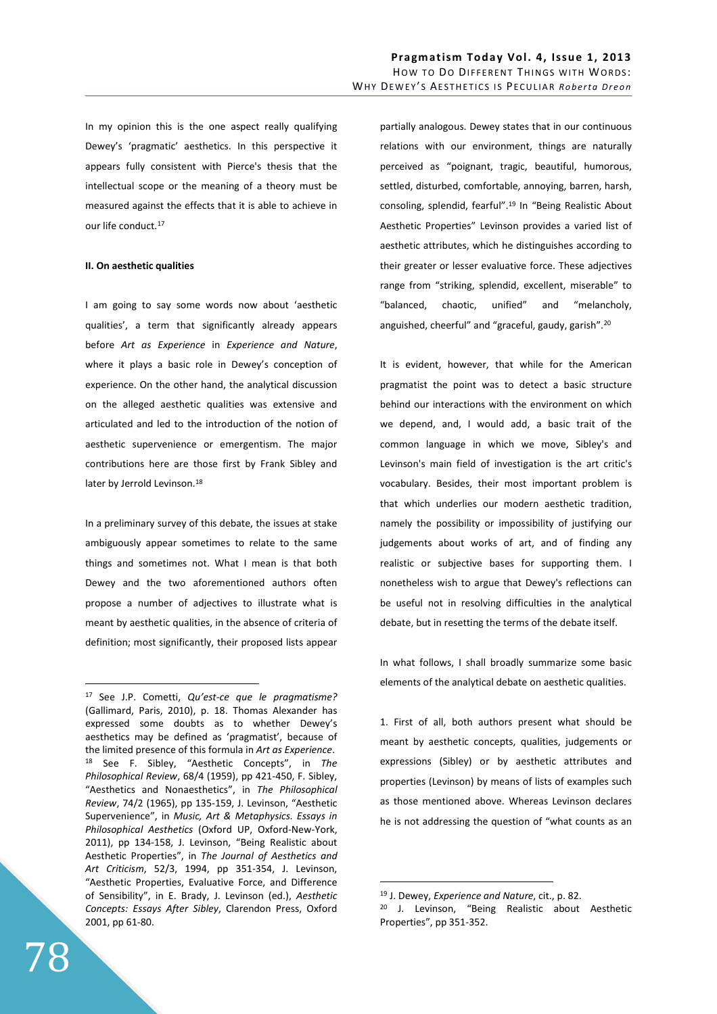In my opinion this is the one aspect really qualifying Dewey's 'pragmatic' aesthetics. In this perspective it appears fully consistent with Pierce's thesis that the intellectual scope or the meaning of a theory must be measured against the effects that it is able to achieve in our life conduct.<sup>17</sup>

## **II. On aesthetic qualities**

I am going to say some words now about 'aesthetic qualities', a term that significantly already appears before *Art as Experience* in *Experience and Nature*, where it plays a basic role in Dewey's conception of experience. On the other hand, the analytical discussion on the alleged aesthetic qualities was extensive and articulated and led to the introduction of the notion of aesthetic supervenience or emergentism. The major contributions here are those first by Frank Sibley and later by Jerrold Levinson.<sup>18</sup>

In a preliminary survey of this debate, the issues at stake ambiguously appear sometimes to relate to the same things and sometimes not. What I mean is that both Dewey and the two aforementioned authors often propose a number of adjectives to illustrate what is meant by aesthetic qualities, in the absence of criteria of definition; most significantly, their proposed lists appear partially analogous. Dewey states that in our continuous relations with our environment, things are naturally perceived as "poignant, tragic, beautiful, humorous, settled, disturbed, comfortable, annoying, barren, harsh, consoling, splendid, fearful".<sup>19</sup> In "Being Realistic About Aesthetic Properties" Levinson provides a varied list of aesthetic attributes, which he distinguishes according to their greater or lesser evaluative force. These adjectives range from "striking, splendid, excellent, miserable" to "balanced, chaotic, unified" and "melancholy, anguished, cheerful" and "graceful, gaudy, garish".<sup>20</sup>

It is evident, however, that while for the American pragmatist the point was to detect a basic structure behind our interactions with the environment on which we depend, and, I would add, a basic trait of the common language in which we move, Sibley's and Levinson's main field of investigation is the art critic's vocabulary. Besides, their most important problem is that which underlies our modern aesthetic tradition, namely the possibility or impossibility of justifying our judgements about works of art, and of finding any realistic or subjective bases for supporting them. I nonetheless wish to argue that Dewey's reflections can be useful not in resolving difficulties in the analytical debate, but in resetting the terms of the debate itself.

In what follows, I shall broadly summarize some basic elements of the analytical debate on aesthetic qualities.

1. First of all, both authors present what should be meant by aesthetic concepts, qualities, judgements or expressions (Sibley) or by aesthetic attributes and properties (Levinson) by means of lists of examples such as those mentioned above. Whereas Levinson declares he is not addressing the question of "what counts as an

 $\overline{a}$ 

<sup>17</sup> See J.P. Cometti, *Qu'est-ce que le pragmatisme?* (Gallimard, Paris, 2010), p. 18. Thomas Alexander has expressed some doubts as to whether Dewey's aesthetics may be defined as 'pragmatist', because of the limited presence of this formula in *Art as Experience*. <sup>18</sup> See F. Sibley, "Aesthetic Concepts", in *The Philosophical Review*, 68/4 (1959), pp 421-450, F. Sibley, "Aesthetics and Nonaesthetics", in *The Philosophical Review*, 74/2 (1965), pp 135-159, J. Levinson, "Aesthetic Supervenience", in *Music, Art & Metaphysics. Essays in Philosophical Aesthetics* (Oxford UP, Oxford-New-York, 2011), pp 134-158, J. Levinson, "Being Realistic about Aesthetic Properties", in *The Journal of Aesthetics and Art Criticism*, 52/3, 1994, pp 351-354, J. Levinson, "Aesthetic Properties, Evaluative Force, and Difference of Sensibility", in E. Brady, J. Levinson (ed.), *Aesthetic Concepts: Essays After Sibley*, Clarendon Press, Oxford 2001, pp 61-80.

<sup>19</sup> J. Dewey, *Experience and Nature*, cit., p. 82.

<sup>20</sup> J. Levinson, "Being Realistic about Aesthetic Properties", pp 351-352.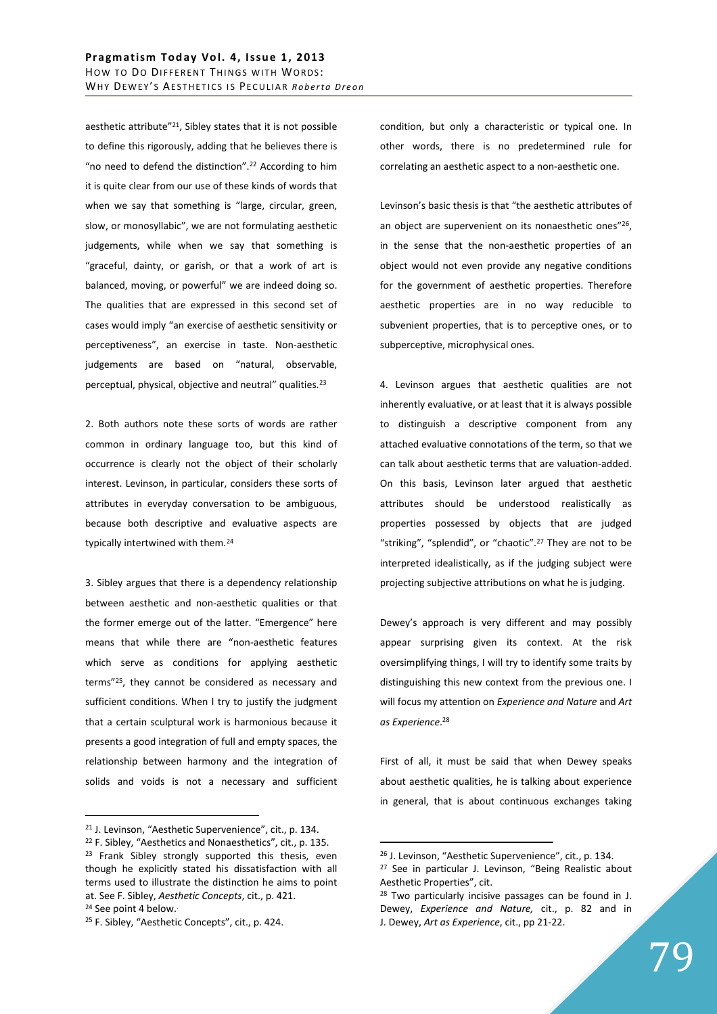aesthetic attribute"<sup>21</sup>, Sibley states that it is not possible to define this rigorously, adding that he believes there is "no need to defend the distinction".<sup>22</sup> According to him it is quite clear from our use of these kinds of words that when we say that something is "large, circular, green, slow, or monosyllabic", we are not formulating aesthetic judgements, while when we say that something is "graceful, dainty, or garish, or that a work of art is balanced, moving, or powerful" we are indeed doing so. The qualities that are expressed in this second set of cases would imply "an exercise of aesthetic sensitivity or perceptiveness", an exercise in taste. Non-aesthetic judgements are based on "natural, observable, perceptual, physical, objective and neutral" qualities.<sup>23</sup>

2. Both authors note these sorts of words are rather common in ordinary language too, but this kind of occurrence is clearly not the object of their scholarly interest. Levinson, in particular, considers these sorts of attributes in everyday conversation to be ambiguous, because both descriptive and evaluative aspects are typically intertwined with them.<sup>24</sup>

3. Sibley argues that there is a dependency relationship between aesthetic and non-aesthetic qualities or that the former emerge out of the latter. "Emergence" here means that while there are "non-aesthetic features which serve as conditions for applying aesthetic terms"<sup>25</sup>, they cannot be considered as necessary and sufficient conditions. When I try to justify the judgment that a certain sculptural work is harmonious because it presents a good integration of full and empty spaces, the relationship between harmony and the integration of solids and voids is not a necessary and sufficient

 $\overline{a}$ 

condition, but only a characteristic or typical one. In other words, there is no predetermined rule for correlating an aesthetic aspect to a non-aesthetic one.

Levinson's basic thesis is that "the aesthetic attributes of an object are supervenient on its nonaesthetic ones"<sup>26</sup>, in the sense that the non-aesthetic properties of an object would not even provide any negative conditions for the government of aesthetic properties. Therefore aesthetic properties are in no way reducible to subvenient properties, that is to perceptive ones, or to subperceptive, microphysical ones.

4. Levinson argues that aesthetic qualities are not inherently evaluative, or at least that it is always possible to distinguish a descriptive component from any attached evaluative connotations of the term, so that we can talk about aesthetic terms that are valuation-added. On this basis, Levinson later argued that aesthetic attributes should be understood realistically as properties possessed by objects that are judged "striking", "splendid", or "chaotic".<sup>27</sup> They are not to be interpreted idealistically, as if the judging subject were projecting subjective attributions on what he is judging.

Dewey's approach is very different and may possibly appear surprising given its context. At the risk oversimplifying things, I will try to identify some traits by distinguishing this new context from the previous one. I will focus my attention on *Experience and Nature* and *Art as Experience*. 28

First of all, it must be said that when Dewey speaks about aesthetic qualities, he is talking about experience in general, that is about continuous exchanges taking

<sup>21</sup> J. Levinson, "Aesthetic Supervenience", cit., p. 134.

<sup>22</sup> F. Sibley, "Aesthetics and Nonaesthetics", cit., p. 135. <sup>23</sup> Frank Sibley strongly supported this thesis, even though he explicitly stated his dissatisfaction with all terms used to illustrate the distinction he aims to point at. See F. Sibley, *Aesthetic Concepts*, cit., p. 421. <sup>24</sup> See point 4 below..

<sup>25</sup> F. Sibley, "Aesthetic Concepts", cit., p. 424.

<sup>26</sup> J. Levinson, "Aesthetic Supervenience", cit., p. 134. <sup>27</sup> See in particular J. Levinson, "Being Realistic about

Aesthetic Properties", cit.

 $28$  Two particularly incisive passages can be found in J. Dewey, *Experience and Nature,* cit., p. 82 and in J. Dewey, *Art as Experience*, cit., pp 21-22.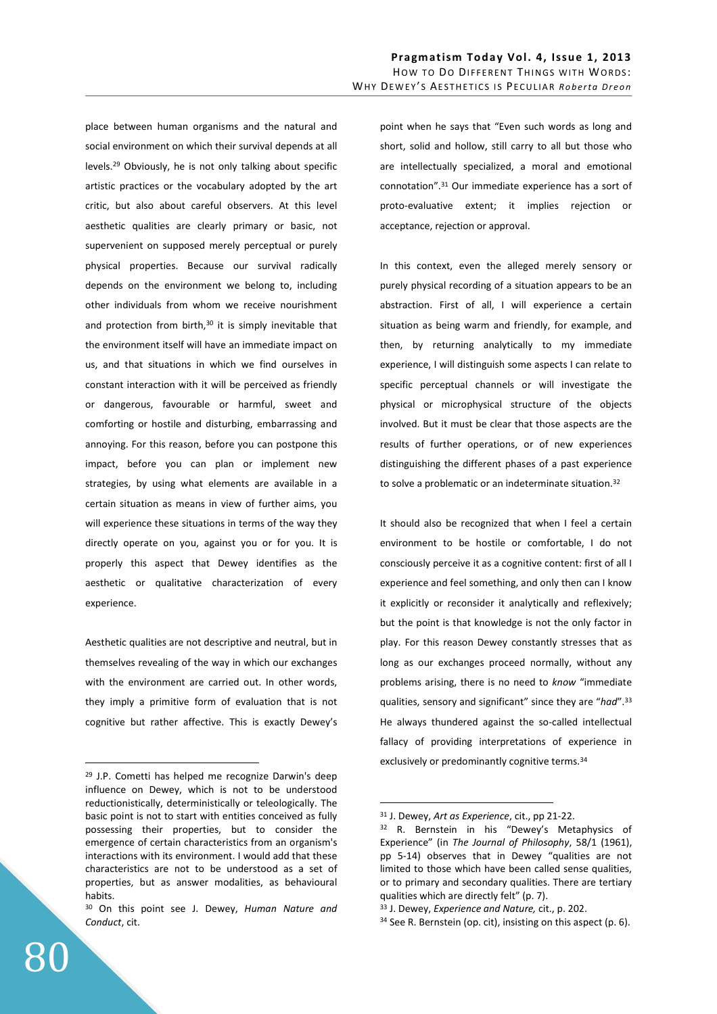place between human organisms and the natural and social environment on which their survival depends at all levels.<sup>29</sup> Obviously, he is not only talking about specific artistic practices or the vocabulary adopted by the art critic, but also about careful observers. At this level aesthetic qualities are clearly primary or basic, not supervenient on supposed merely perceptual or purely physical properties. Because our survival radically depends on the environment we belong to, including other individuals from whom we receive nourishment and protection from birth, $30$  it is simply inevitable that the environment itself will have an immediate impact on us, and that situations in which we find ourselves in constant interaction with it will be perceived as friendly or dangerous, favourable or harmful, sweet and comforting or hostile and disturbing, embarrassing and annoying. For this reason, before you can postpone this impact, before you can plan or implement new strategies, by using what elements are available in a certain situation as means in view of further aims, you will experience these situations in terms of the way they directly operate on you, against you or for you. It is properly this aspect that Dewey identifies as the aesthetic or qualitative characterization of every experience.

Aesthetic qualities are not descriptive and neutral, but in themselves revealing of the way in which our exchanges with the environment are carried out. In other words, they imply a primitive form of evaluation that is not cognitive but rather affective. This is exactly Dewey's point when he says that "Even such words as long and short, solid and hollow, still carry to all but those who are intellectually specialized, a moral and emotional connotation".<sup>31</sup> Our immediate experience has a sort of proto-evaluative extent; it implies rejection or acceptance, rejection or approval.

In this context, even the alleged merely sensory or purely physical recording of a situation appears to be an abstraction. First of all, I will experience a certain situation as being warm and friendly, for example, and then, by returning analytically to my immediate experience, I will distinguish some aspects I can relate to specific perceptual channels or will investigate the physical or microphysical structure of the objects involved. But it must be clear that those aspects are the results of further operations, or of new experiences distinguishing the different phases of a past experience to solve a problematic or an indeterminate situation.<sup>32</sup>

It should also be recognized that when I feel a certain environment to be hostile or comfortable, I do not consciously perceive it as a cognitive content: first of all I experience and feel something, and only then can I know it explicitly or reconsider it analytically and reflexively; but the point is that knowledge is not the only factor in play. For this reason Dewey constantly stresses that as long as our exchanges proceed normally, without any problems arising, there is no need to *know* "immediate qualities, sensory and significant" since they are "*had*".<sup>33</sup> He always thundered against the so-called intellectual fallacy of providing interpretations of experience in exclusively or predominantly cognitive terms.<sup>34</sup>

 $\overline{a}$ 

<sup>29</sup> J.P. Cometti has helped me recognize Darwin's deep influence on Dewey, which is not to be understood reductionistically, deterministically or teleologically. The basic point is not to start with entities conceived as fully possessing their properties, but to consider the emergence of certain characteristics from an organism's interactions with its environment. I would add that these characteristics are not to be understood as a set of properties, but as answer modalities, as behavioural habits.

<sup>30</sup> On this point see J. Dewey, *Human Nature and Conduct*, cit.

<sup>31</sup> J. Dewey, *Art as Experience*, cit., pp 21-22.

<sup>&</sup>lt;sup>32</sup> R. Bernstein in his "Dewey's Metaphysics of Experience" (in *The Journal of Philosophy*, 58/1 (1961), pp 5-14) observes that in Dewey "qualities are not limited to those which have been called sense qualities, or to primary and secondary qualities. There are tertiary qualities which are directly felt" (p. 7).

<sup>33</sup> J. Dewey, *Experience and Nature,* cit., p. 202.

<sup>34</sup> See R. Bernstein (op. cit), insisting on this aspect (p. 6).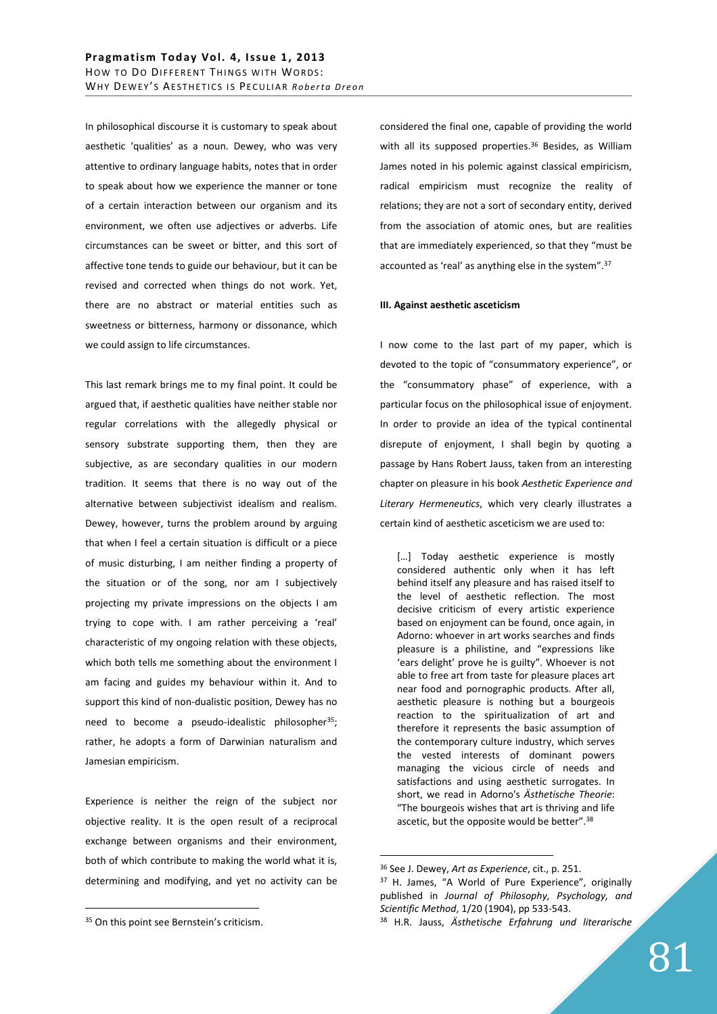In philosophical discourse it is customary to speak about aesthetic 'qualities' as a noun. Dewey, who was very attentive to ordinary language habits, notes that in order to speak about how we experience the manner or tone of a certain interaction between our organism and its environment, we often use adjectives or adverbs. Life circumstances can be sweet or bitter, and this sort of affective tone tends to guide our behaviour, but it can be revised and corrected when things do not work. Yet, there are no abstract or material entities such as sweetness or bitterness, harmony or dissonance, which we could assign to life circumstances.

This last remark brings me to my final point. It could be argued that, if aesthetic qualities have neither stable nor regular correlations with the allegedly physical or sensory substrate supporting them, then they are subjective, as are secondary qualities in our modern tradition. It seems that there is no way out of the alternative between subjectivist idealism and realism. Dewey, however, turns the problem around by arguing that when I feel a certain situation is difficult or a piece of music disturbing, I am neither finding a property of the situation or of the song, nor am I subjectively projecting my private impressions on the objects I am trying to cope with. I am rather perceiving a 'real' characteristic of my ongoing relation with these objects, which both tells me something about the environment I am facing and guides my behaviour within it. And to support this kind of non-dualistic position, Dewey has no need to become a pseudo-idealistic philosopher<sup>35</sup>; rather, he adopts a form of Darwinian naturalism and Jamesian empiricism.

Experience is neither the reign of the subject nor objective reality. It is the open result of a reciprocal exchange between organisms and their environment, both of which contribute to making the world what it is, determining and modifying, and yet no activity can be

 $\overline{a}$ 

considered the final one, capable of providing the world with all its supposed properties.<sup>36</sup> Besides, as William James noted in his polemic against classical empiricism, radical empiricism must recognize the reality of relations; they are not a sort of secondary entity, derived from the association of atomic ones, but are realities that are immediately experienced, so that they "must be accounted as 'real' as anything else in the system".<sup>37</sup>

## **III. Against aesthetic asceticism**

I now come to the last part of my paper, which is devoted to the topic of "consummatory experience", or the "consummatory phase" of experience, with a particular focus on the philosophical issue of enjoyment. In order to provide an idea of the typical continental disrepute of enjoyment, I shall begin by quoting a passage by Hans Robert Jauss, taken from an interesting chapter on pleasure in his book *Aesthetic Experience and Literary Hermeneutics*, which very clearly illustrates a certain kind of aesthetic asceticism we are used to:

[...] Today aesthetic experience is mostly considered authentic only when it has left behind itself any pleasure and has raised itself to the level of aesthetic reflection. The most decisive criticism of every artistic experience based on enjoyment can be found, once again, in Adorno: whoever in art works searches and finds pleasure is a philistine, and "expressions like 'ears delight' prove he is guilty". Whoever is not able to free art from taste for pleasure places art near food and pornographic products. After all, aesthetic pleasure is nothing but a bourgeois reaction to the spiritualization of art and therefore it represents the basic assumption of the contemporary culture industry, which serves the vested interests of dominant powers managing the vicious circle of needs and satisfactions and using aesthetic surrogates. In short, we read in Adorno's *Ästhetische Theorie*: "The bourgeois wishes that art is thriving and life ascetic, but the opposite would be better".<sup>38</sup>

<sup>35</sup> On this point see Bernstein's criticism.

<sup>36</sup> See J. Dewey, *Art as Experience*, cit., p. 251.

<sup>37</sup> H. James, "A World of Pure Experience", originally published in *Journal of Philosophy, Psychology, and Scientific Method*, 1/20 (1904), pp 533-543.

<sup>38</sup> H.R. Jauss, *Ästhetische Erfahrung und literarische*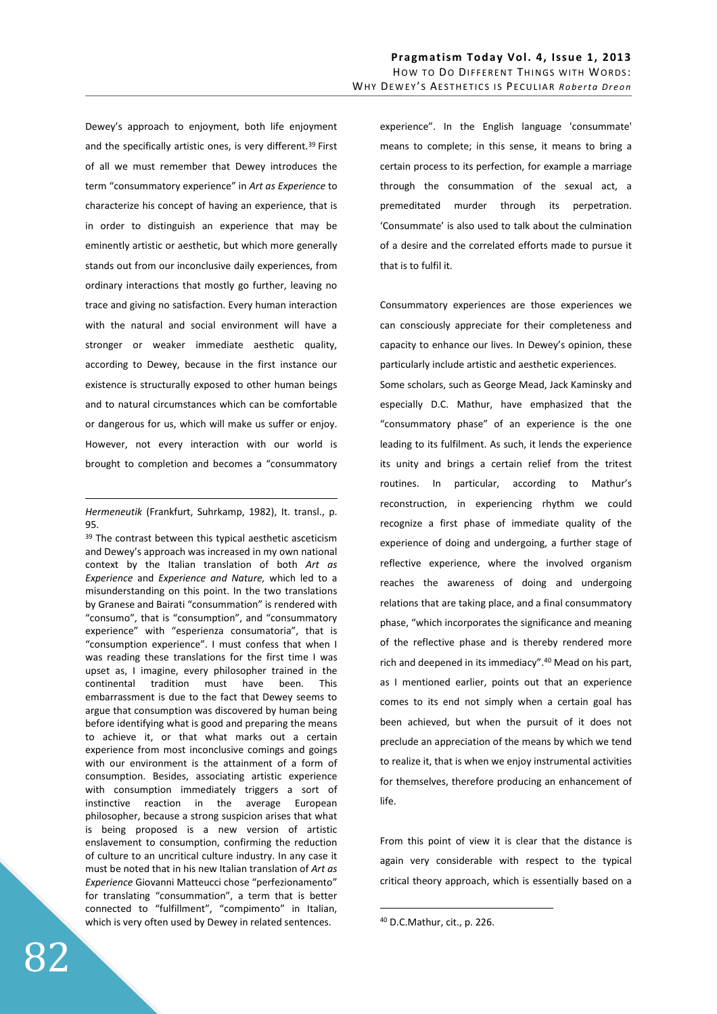Dewey's approach to enjoyment, both life enjoyment and the specifically artistic ones, is very different.<sup>39</sup> First of all we must remember that Dewey introduces the term "consummatory experience" in *Art as Experience* to characterize his concept of having an experience, that is in order to distinguish an experience that may be eminently artistic or aesthetic, but which more generally stands out from our inconclusive daily experiences, from ordinary interactions that mostly go further, leaving no trace and giving no satisfaction. Every human interaction with the natural and social environment will have a stronger or weaker immediate aesthetic quality, according to Dewey, because in the first instance our existence is structurally exposed to other human beings and to natural circumstances which can be comfortable or dangerous for us, which will make us suffer or enjoy. However, not every interaction with our world is brought to completion and becomes a "consummatory

*Hermeneutik* (Frankfurt, Suhrkamp, 1982), It. transl., p. 95.

<u>.</u>

<sup>39</sup> The contrast between this typical aesthetic asceticism and Dewey's approach was increased in my own national context by the Italian translation of both *Art as Experience* and *Experience and Nature,* which led to a misunderstanding on this point. In the two translations by Granese and Bairati "consummation" is rendered with "consumo", that is "consumption", and "consummatory experience" with "esperienza consumatoria", that is "consumption experience". I must confess that when I was reading these translations for the first time I was upset as, I imagine, every philosopher trained in the continental tradition must have been. This embarrassment is due to the fact that Dewey seems to argue that consumption was discovered by human being before identifying what is good and preparing the means to achieve it, or that what marks out a certain experience from most inconclusive comings and goings with our environment is the attainment of a form of consumption. Besides, associating artistic experience with consumption immediately triggers a sort of instinctive reaction in the average European philosopher, because a strong suspicion arises that what is being proposed is a new version of artistic enslavement to consumption, confirming the reduction of culture to an uncritical culture industry. In any case it must be noted that in his new Italian translation of *Art as Experience* Giovanni Matteucci chose "perfezionamento" for translating "consummation", a term that is better connected to "fulfillment", "compimento" in Italian, which is very often used by Dewey in related sentences.

experience". In the English language 'consummate' means to complete; in this sense, it means to bring a certain process to its perfection, for example a marriage through the consummation of the sexual act, a premeditated murder through its perpetration. 'Consummate' is also used to talk about the culmination of a desire and the correlated efforts made to pursue it that is to fulfil it.

Consummatory experiences are those experiences we can consciously appreciate for their completeness and capacity to enhance our lives. In Dewey's opinion, these particularly include artistic and aesthetic experiences. Some scholars, such as George Mead, Jack Kaminsky and especially D.C. Mathur, have emphasized that the "consummatory phase" of an experience is the one leading to its fulfilment. As such, it lends the experience its unity and brings a certain relief from the tritest routines. In particular, according to Mathur's reconstruction, in experiencing rhythm we could recognize a first phase of immediate quality of the experience of doing and undergoing, a further stage of reflective experience, where the involved organism reaches the awareness of doing and undergoing relations that are taking place, and a final consummatory phase, "which incorporates the significance and meaning of the reflective phase and is thereby rendered more rich and deepened in its immediacy".<sup>40</sup> Mead on his part, as I mentioned earlier, points out that an experience comes to its end not simply when a certain goal has been achieved, but when the pursuit of it does not preclude an appreciation of the means by which we tend to realize it, that is when we enjoy instrumental activities for themselves, therefore producing an enhancement of life.

From this point of view it is clear that the distance is again very considerable with respect to the typical critical theory approach, which is essentially based on a

<sup>40</sup> D.C.Mathur, cit., p. 226.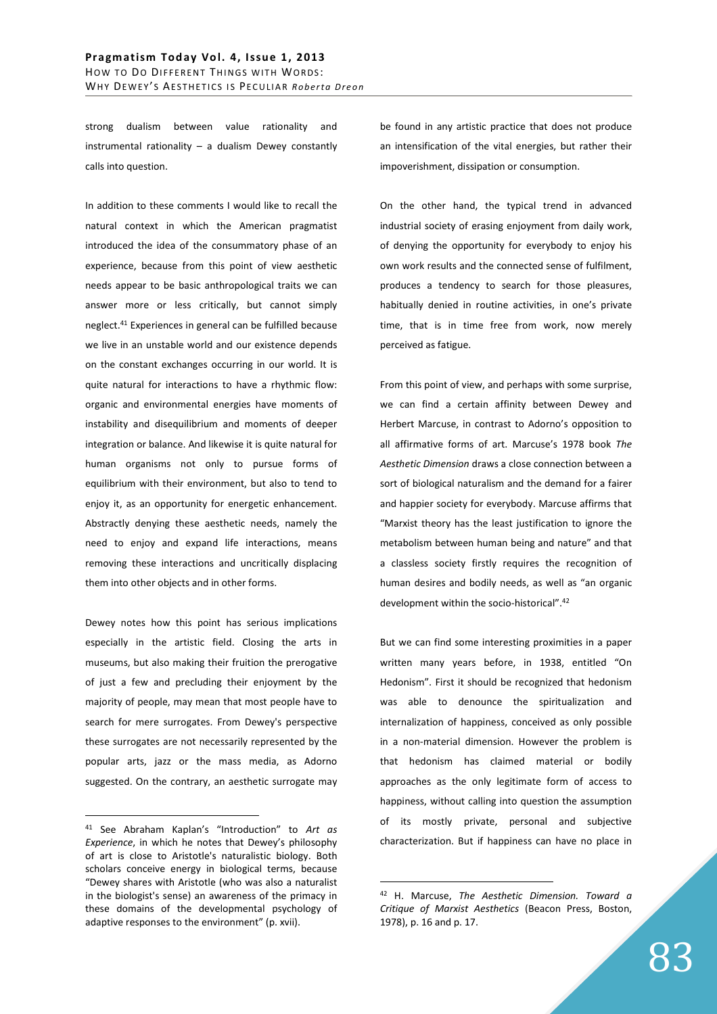strong dualism between value rationality and instrumental rationality – a dualism Dewey constantly calls into question.

In addition to these comments I would like to recall the natural context in which the American pragmatist introduced the idea of the consummatory phase of an experience, because from this point of view aesthetic needs appear to be basic anthropological traits we can answer more or less critically, but cannot simply neglect.<sup>41</sup> Experiences in general can be fulfilled because we live in an unstable world and our existence depends on the constant exchanges occurring in our world. It is quite natural for interactions to have a rhythmic flow: organic and environmental energies have moments of instability and disequilibrium and moments of deeper integration or balance. And likewise it is quite natural for human organisms not only to pursue forms of equilibrium with their environment, but also to tend to enjoy it, as an opportunity for energetic enhancement. Abstractly denying these aesthetic needs, namely the need to enjoy and expand life interactions, means removing these interactions and uncritically displacing them into other objects and in other forms.

Dewey notes how this point has serious implications especially in the artistic field. Closing the arts in museums, but also making their fruition the prerogative of just a few and precluding their enjoyment by the majority of people, may mean that most people have to search for mere surrogates. From Dewey's perspective these surrogates are not necessarily represented by the popular arts, jazz or the mass media, as Adorno suggested. On the contrary, an aesthetic surrogate may

 $\overline{a}$ 

be found in any artistic practice that does not produce an intensification of the vital energies, but rather their impoverishment, dissipation or consumption.

On the other hand, the typical trend in advanced industrial society of erasing enjoyment from daily work, of denying the opportunity for everybody to enjoy his own work results and the connected sense of fulfilment, produces a tendency to search for those pleasures, habitually denied in routine activities, in one's private time, that is in time free from work, now merely perceived as fatigue.

From this point of view, and perhaps with some surprise, we can find a certain affinity between Dewey and Herbert Marcuse, in contrast to Adorno's opposition to all affirmative forms of art. Marcuse's 1978 book *The Aesthetic Dimension* draws a close connection between a sort of biological naturalism and the demand for a fairer and happier society for everybody. Marcuse affirms that "Marxist theory has the least justification to ignore the metabolism between human being and nature" and that a classless society firstly requires the recognition of human desires and bodily needs, as well as "an organic development within the socio-historical".<sup>42</sup>

But we can find some interesting proximities in a paper written many years before, in 1938, entitled "On Hedonism". First it should be recognized that hedonism was able to denounce the spiritualization and internalization of happiness, conceived as only possible in a non-material dimension. However the problem is that hedonism has claimed material or bodily approaches as the only legitimate form of access to happiness, without calling into question the assumption of its mostly private, personal and subjective characterization. But if happiness can have no place in

<sup>41</sup> See Abraham Kaplan's "Introduction" to *Art as Experience*, in which he notes that Dewey's philosophy of art is close to Aristotle's naturalistic biology. Both scholars conceive energy in biological terms, because "Dewey shares with Aristotle (who was also a naturalist in the biologist's sense) an awareness of the primacy in these domains of the developmental psychology of adaptive responses to the environment" (p. xvii).

<sup>42</sup> H. Marcuse, *The Aesthetic Dimension. Toward a Critique of Marxist Aesthetics* (Beacon Press, Boston, 1978), p. 16 and p. 17.